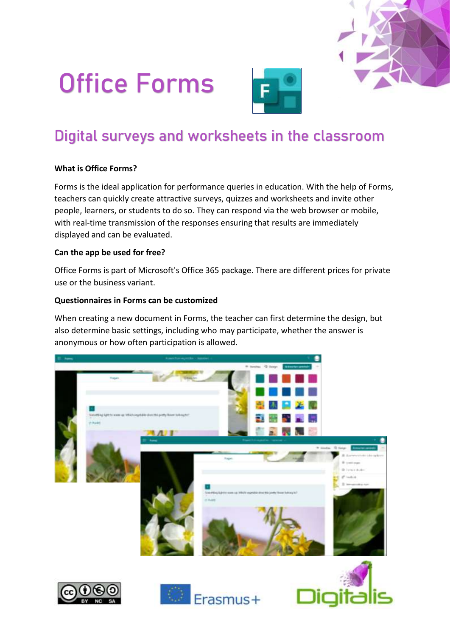# Office Forms



# Digital surveys and worksheets in the classroom

# **What is Office Forms?**

Forms is the ideal application for performance queries in education. With the help of Forms, teachers can quickly create attractive surveys, quizzes and worksheets and invite other people, learners, or students to do so. They can respond via the web browser or mobile, with real-time transmission of the responses ensuring that results are immediately displayed and can be evaluated.

#### **Can the app be used for free?**

Office Forms is part of Microsoft's Office 365 package. There are different prices for private use or the business variant.

#### **Questionnaires in Forms can be customized**

When creating a new document in Forms, the teacher can first determine the design, but also determine basic settings, including who may participate, whether the answer is anonymous or how often participation is allowed.

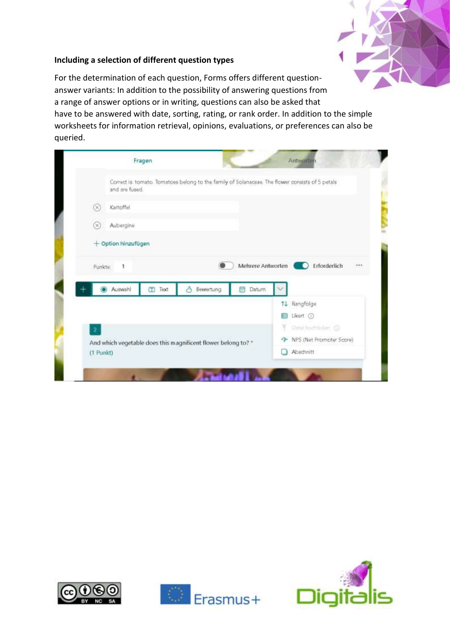

#### **Including a selection of different question types**

For the determination of each question, Forms offers different questionanswer variants: In addition to the possibility of answering questions from a range of answer options or in writing, questions can also be asked that have to be answered with date, sorting, rating, or rank order. In addition to the simple worksheets for information retrieval, opinions, evaluations, or preferences can also be queried.

|                 | and are fused.        |               |                |                                                               | Correct is: tomato. Tomatoes belong to the family of Solanaosae. The flower consists of 5 petals |
|-----------------|-----------------------|---------------|----------------|---------------------------------------------------------------|--------------------------------------------------------------------------------------------------|
| Kartoffel<br>D€ |                       |               |                |                                                               |                                                                                                  |
| ×               | Aubergine             |               |                |                                                               |                                                                                                  |
|                 | $+$ Option hinzufügen |               |                |                                                               |                                                                                                  |
| Punkte:         | ٠                     |               |                |                                                               | Mehrere Antworten<br>Erforderlich                                                                |
|                 | Auswahl               | <b>I</b> Text | Bewertung<br>Δ | Datum<br>甸                                                    |                                                                                                  |
|                 |                       |               |                |                                                               | 11 Rangfolge                                                                                     |
|                 |                       |               |                |                                                               | Likert 1<br>讍                                                                                    |
| $\overline{2}$  |                       |               |                |                                                               | Date hochlider 1<br>不                                                                            |
|                 |                       |               |                | And which vegetable does this magnificent flower belong to? * | The NPS (Net Promoter Score)                                                                     |





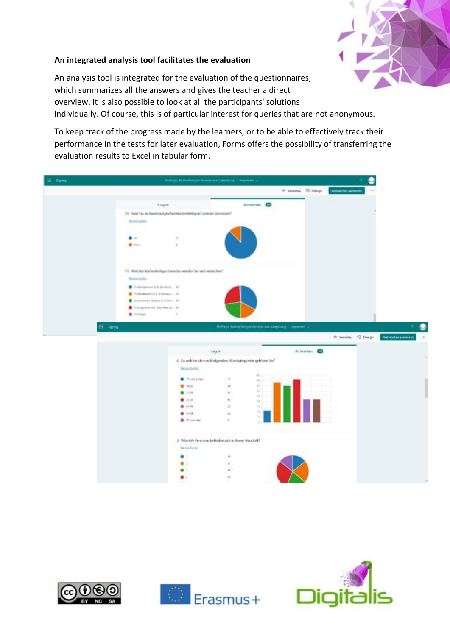

# **An integrated analysis tool facilitates the evaluation**

An analysis tool is integrated for the evaluation of the questionnaires, which summarizes all the answers and gives the teacher a direct overview. It is also possible to look at all the participants' solutions individually. Of course, this is of particular interest for queries that are not anonymous.

To keep track of the progress made by the learners, or to be able to effectively track their performance in the tests for later evaluation, Forms offers the possibility of transferring the evaluation results to Excel in tabular form.

| E Ferral |                                                   | Stellege Katherinetyne Serson and poettury (19444444)                |                                                              |                     |                     |                                              |                   |               |
|----------|---------------------------------------------------|----------------------------------------------------------------------|--------------------------------------------------------------|---------------------|---------------------|----------------------------------------------|-------------------|---------------|
|          |                                                   |                                                                      |                                                              |                     | 4 Insular G. Design | Arthurs fest particles                       |                   |               |
|          | Frages                                            |                                                                      |                                                              | Antaurian <b>CO</b> |                     |                                              |                   |               |
|          |                                                   | 10. Sind Six an hause burgischen küchenfertigen: Gemüse Intvessiert! |                                                              |                     |                     |                                              |                   |               |
|          | <b>Street, Caraka</b>                             |                                                                      |                                                              |                     |                     |                                              |                   |               |
|          |                                                   |                                                                      |                                                              |                     |                     |                                              |                   |               |
|          |                                                   | $\pm\tau$                                                            |                                                              |                     |                     |                                              |                   |               |
|          | <b>Basic</b>                                      | ×                                                                    |                                                              |                     |                     |                                              |                   |               |
|          |                                                   |                                                                      |                                                              |                     |                     |                                              |                   |               |
|          |                                                   | 11. Welches küchenfortiges Gemüse seindes Sie sich seizuchen?        |                                                              |                     |                     |                                              |                   |               |
|          | <b>Skinn Death</b>                                |                                                                      |                                                              |                     |                     |                                              |                   |               |
|          | C Turkingerium II & Scretch  #2                   |                                                                      |                                                              |                     |                     |                                              |                   |               |
|          | $\bullet$ . To have been in a statement $\sim 20$ |                                                                      |                                                              |                     |                     |                                              |                   |               |
|          | Concrete Green (Ltd., 21)                         |                                                                      |                                                              |                     |                     |                                              |                   |               |
|          | Printsympactic Secreticism. (in                   |                                                                      |                                                              |                     |                     |                                              |                   |               |
|          | <b>B</b> Santan                                   | ×                                                                    |                                                              |                     |                     |                                              |                   |               |
|          |                                                   |                                                                      |                                                              |                     |                     |                                              |                   |               |
|          |                                                   |                                                                      |                                                              |                     |                     |                                              |                   |               |
|          | <b>拼 Forms</b>                                    |                                                                      | Heftege Katsefeltga Bertin zurübertlars - Inseler -          |                     |                     |                                              |                   |               |
|          |                                                   |                                                                      |                                                              |                     |                     | <sup>49</sup> Versions <sup>(2)</sup> Design | Antworter summain | $\frac{1}{2}$ |
|          |                                                   |                                                                      |                                                              |                     |                     |                                              |                   |               |
|          |                                                   |                                                                      | Fragme                                                       |                     | Antworten CD        |                                              |                   |               |
|          |                                                   |                                                                      | 2. Zu welcher der nachfolgenden Altenkategorien gebören Sie! |                     |                     |                                              |                   |               |
|          |                                                   | The new Decode                                                       |                                                              |                     |                     |                                              |                   |               |
|          |                                                   |                                                                      |                                                              | 4ť                  |                     |                                              |                   |               |
|          |                                                   | <b>O</b> this paper                                                  | 14                                                           | 41.                 |                     |                                              |                   |               |
|          |                                                   | 0.22<br>0.1136                                                       | $\approx$                                                    | 35<br>W.            |                     |                                              |                   |               |
|          |                                                   |                                                                      | $\approx$                                                    | m                   |                     |                                              |                   |               |
|          |                                                   | 0.01                                                                 | 41                                                           | W.<br>11.           |                     |                                              |                   |               |
|          |                                                   | 0.08<br>0.54                                                         | $22^\circ$<br>$\overline{\alpha}$                            | mi)                 |                     |                                              |                   |               |
|          |                                                   | Colemn                                                               | $\pm$                                                        |                     |                     |                                              |                   |               |
|          |                                                   |                                                                      |                                                              |                     |                     |                                              |                   |               |
|          |                                                   | Weiner Details                                                       | J. Wieviele Personen befinden sich in ihrem Haushalt?        |                     |                     |                                              |                   |               |
|          |                                                   | ۰                                                                    | $\mathcal{M}$                                                |                     |                     |                                              |                   |               |
|          |                                                   |                                                                      | $\overline{\sigma}$                                          |                     |                     |                                              |                   |               |
|          |                                                   |                                                                      | 16                                                           |                     |                     |                                              |                   |               |